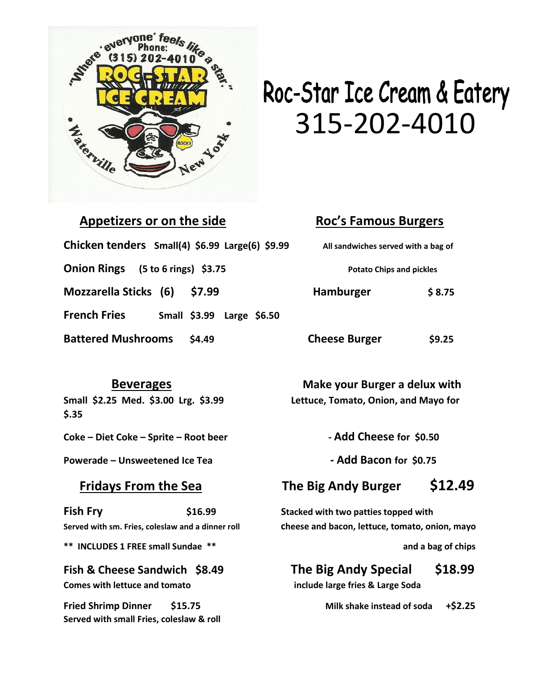

## Roc-Star Ice Cream & Eatery

| Appetizers or on the side                                   | <b>Roc's Famous Burgers</b>         |              |
|-------------------------------------------------------------|-------------------------------------|--------------|
| Chicken tenders Small(4) \$6.99 Large(6) \$9.99             | All sandwiches served with a bag of |              |
| <b>Onion Rings</b><br>$(5 to 6 rings)$ \$3.75               | <b>Potato Chips and pickles</b>     |              |
| <b>Mozzarella Sticks</b> (6)<br>\$7.99                      | Hamburger                           | \$8.75       |
| <b>French Fries</b><br><b>Small \$3.99</b><br>Large $$6.50$ |                                     |              |
| <b>Battered Mushrooms</b><br>\$4.49                         | <b>Cheese Burger</b>                | <b>S9.25</b> |

**\$.35**

**Coke – Diet Coke – Sprite – Root beer - Add Cheese for \$0.50**

**Powerade – Unsweetened Ice Tea - Add Bacon for \$0.75**

**Fish Fry \$16.99 Stacked with two patties topped with** 

\*\* INCLUDES 1 FREE small Sundae \*\* **and a bag of chips** and a bag of chips

**Comes with lettuce and tomato include large fries & Large Soda** 

**Fried Shrimp Dinner \$15.75 Milk shake instead of soda +\$2.25 Served with small Fries, coleslaw & roll**

 **Beverages Make your Burger a delux with Small \$2.25 Med. \$3.00 Lrg. \$3.99 Lettuce, Tomato, Onion, and Mayo for** 

### **Fridays From the Sea The Big Andy Burger \$12.49**

**Served with sm. Fries, coleslaw and a dinner roll cheese and bacon, lettuce, tomato, onion, mayo** 

## **Fish & Cheese Sandwich \$8.49 The Big Andy Special \$18.99**